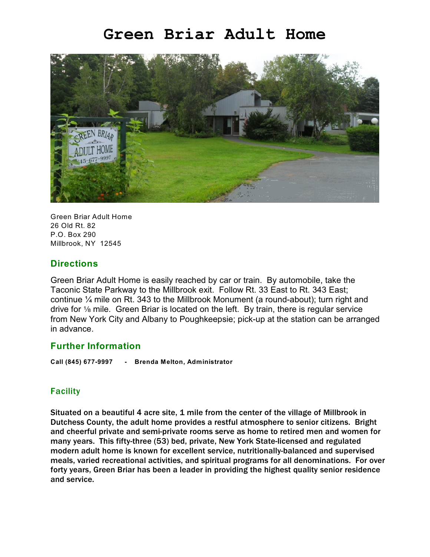# **Green Briar Adult Home**



Green Briar Adult Home 26 Old Rt. 82 P.O. Box 290 Millbrook, NY 12545

## **Directions**

Green Briar Adult Home is easily reached by car or train. By automobile, take the Taconic State Parkway to the Millbrook exit. Follow Rt. 33 East to Rt. 343 East; continue ¼ mile on Rt. 343 to the Millbrook Monument (a round-about); turn right and drive for  $\frac{1}{8}$  mile. Green Briar is located on the left. By train, there is regular service from New York City and Albany to Poughkeepsie; pick-up at the station can be arranged in advance.

#### **Further Information**

**Call (845) 677-9997 - Brenda Melton, Administrator**

#### Facility

Situated on a beautiful 4 acre site, 1 mile from the center of the village of Millbrook in Dutchess County, the adult home provides a restful atmosphere to senior citizens. Bright and cheerful private and semi-private rooms serve as home to retired men and women for many years. This fifty-three (53) bed, private, New York State-licensed and regulated modern adult home is known for excellent service, nutritionally-balanced and supervised meals, varied recreational activities, and spiritual programs for all denominations. For over forty years, Green Briar has been a leader in providing the highest quality senior residence and service.